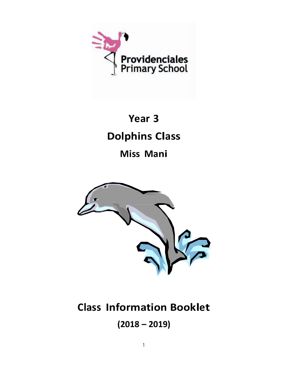

# **Year 3 Dolphins Class**

### **Miss Mani**



## **Class Information Booklet**

**(2018 – 2019)**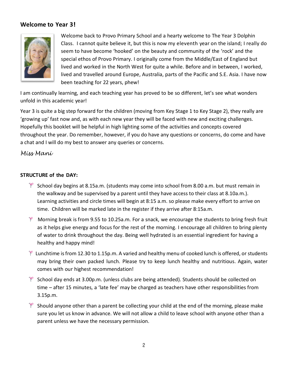#### **Welcome to Year 3!**



Welcome back to Provo Primary School and a hearty welcome to The Year 3 Dolphin Class. I cannot quite believe it, but this is now my eleventh year on the island; I really do seem to have become 'hooked' on the beauty and community of the 'rock' and the special ethos of Provo Primary. I originally come from the Middle/East of England but lived and worked in the North West for quite a while. Before and in between, I worked, lived and travelled around Europe, Australia, parts of the Pacific and S.E. Asia. I have now been teaching for 22 years, phew!

I am continually learning, and each teaching year has proved to be so different, let's see what wonders unfold in this academic year!

Year 3 is quite a big step forward for the children (moving from Key Stage 1 to Key Stage 2), they really are 'growing up' fast now and, as with each new year they will be faced with new and exciting challenges. Hopefully this booklet will be helpful in high lighting some of the activities and concepts covered throughout the year. Do remember, however, if you do have any questions or concerns, do come and have a chat and I will do my best to answer any queries or concerns.

#### *Miss Mani*

#### **STRUCTURE of the DAY:**

- $\mathbb{R}$  School day begins at 8.15a.m. (students may come into school from 8.00 a.m. but must remain in the walkway and be supervised by a parent until they have access to their class at 8.10a.m.). Learning activities and circle times will begin at 8:15 a.m. so please make every effort to arrive on time. Children will be marked late in the register if they arrive after 8:15a.m.
- $*$  Morning break is from 9.55 to 10.25a.m. For a snack, we encourage the students to bring fresh fruit as it helps give energy and focus for the rest of the morning. I encourage all children to bring plenty of water to drink throughout the day. Being well hydrated is an essential ingredient for having a healthy and happy mind!
- $*$  Lunchtime is from 12.30 to 1.15p.m. A varied and healthy menu of cooked lunch is offered, or students may bring their own packed lunch. Please try to keep lunch healthy and nutritious. Again, water comes with our highest recommendation!
- $*$  School day ends at 3.00p.m. (unless clubs are being attended). Students should be collected on time – after 15 minutes, a 'late fee' may be charged as teachers have other responsibilities from 3.15p.m.
- $*$  Should anyone other than a parent be collecting your child at the end of the morning, please make sure you let us know in advance. We will not allow a child to leave school with anyone other than a parent unless we have the necessary permission.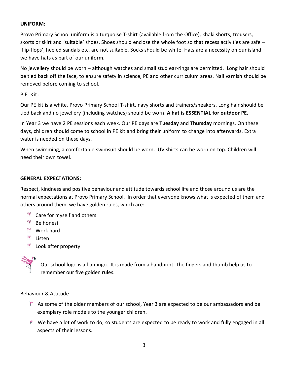#### **UNIFORM:**

Provo Primary School uniform is a turquoise T-shirt (available from the Office), khaki shorts, trousers, skorts or skirt and 'suitable' shoes. Shoes should enclose the whole foot so that recess activities are safe – 'flip-flops', heeled sandals etc. are not suitable. Socks should be white. Hats are a necessity on our island – we have hats as part of our uniform.

No jewellery should be worn – although watches and small stud ear-rings are permitted. Long hair should be tied back off the face, to ensure safety in science, PE and other curriculum areas. Nail varnish should be removed before coming to school.

#### P.E. Kit:

Our PE kit is a white, Provo Primary School T-shirt, navy shorts and trainers/sneakers. Long hair should be tied back and no jewellery (including watches) should be worn. **A hat is ESSENTIAL for outdoor PE.**

In Year 3 we have 2 PE sessions each week. Our PE days are **Tuesday** and **Thursday** mornings. On these days, children should come to school in PE kit and bring their uniform to change into afterwards. Extra water is needed on these days.

When swimming, a comfortable swimsuit should be worn. UV shirts can be worn on top. Children will need their own towel.

#### **GENERAL EXPECTATIONS:**

Respect, kindness and positive behaviour and attitude towards school life and those around us are the normal expectations at Provo Primary School. In order that everyone knows what is expected of them and others around them, we have golden rules, which are:

- <sup>\*</sup> Care for myself and others
- **Be honest**
- **Work hard**
- <sup>→</sup> Listen
- <sup>₩</sup> Look after property



Our school logo is a flamingo. It is made from a handprint. The fingers and thumb help us to remember our five golden rules.

#### Behaviour & Attitude

- $*$  As some of the older members of our school, Year 3 are expected to be our ambassadors and be exemplary role models to the younger children.
- $*$  We have a lot of work to do, so students are expected to be ready to work and fully engaged in all aspects of their lessons.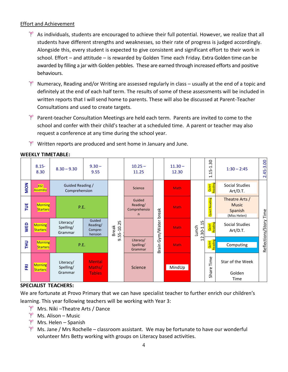#### Effort and Achievement

- $*$  As individuals, students are encouraged to achieve their full potential. However, we realize that all students have different strengths and weaknesses, so their rate of progress is judged accordingly. Alongside this, every student is expected to give consistent and significant effort to their work in school. Effort – and attitude – is rewarded by Golden Time each Friday. Extra Golden time can be awarded by filling a jar with Golden pebbles. These are earned through increased efforts and positive behaviours.
- $*$  Numeracy, Reading and/or Writing are assessed regularly in class usually at the end of a topic and definitely at the end of each half term. The results of some of these assessments will be included in written reports that I will send home to parents. These will also be discussed at Parent-Teacher Consultations and used to create targets.
- Parent-teacher Consultation Meetings are held each term. Parents are invited to come to the school and confer with their child's teacher at a scheduled time. A parent or teacher may also request a conference at any time during the school year.
- $\mathbb{R}$  Written reports are produced and sent home in January and June.

|            | $8.15 -$<br>8.30                  | $8.30 - 9.30$                     | $9.30 -$<br>9.55                         |                                | $10.25 -$<br>11.25                      |           | $11.30 -$<br>12.30 |                          | 30<br>$\overline{ }$<br>$\blacksquare$<br>ம்<br>H<br>$\blacksquare$ | $1:30 - 2:45$                                             | $2.45 - 3.00$          |  |
|------------|-----------------------------------|-----------------------------------|------------------------------------------|--------------------------------|-----------------------------------------|-----------|--------------------|--------------------------|---------------------------------------------------------------------|-----------------------------------------------------------|------------------------|--|
| <b>NOM</b> | KS2<br>Assembly                   |                                   | Guided Reading /<br>Comprehension        |                                | Science                                 |           | <b>Math</b>        |                          | Quiet<br>Reading                                                    | Social Studies<br>Art/D.T.                                |                        |  |
| TUE        | <b>Morning</b><br><b>Starters</b> | P.E.                              |                                          |                                | Guided<br>Reading/<br>Comprehensio<br>n | break     | <b>Math</b>        |                          | eading<br>œ<br>Quiet                                                | Theatre Arts /<br><b>Music</b><br>Spanish<br>(Miss Helen) |                        |  |
| <b>WED</b> | <b>Morning</b><br><b>Starters</b> | Literacy/<br>Spelling/<br>Grammar | Guided<br>Reading/<br>Compre-<br>hension | LO.<br>55-10.2<br><b>Break</b> |                                         | Gym/Water | <b>Math</b>        | $30 - 1.15$<br>Lunch     | Quiet<br>Reading                                                    | Social Studies<br>Art/D.T.                                | Reflections/Story Time |  |
| <b>HH</b>  | <b>Morning</b><br><b>Starters</b> |                                   | P.E.                                     |                                | Literacy/<br>Spelling/<br>Grammar       | Brain     | <b>Math</b>        | $\sim$<br>$\blacksquare$ | Reading<br>Quiet                                                    | Computing                                                 |                        |  |
| ERI        | <b>Morning</b><br><b>Starters</b> | Literacy/<br>Spelling/<br>Grammar | <b>Mental</b><br>Maths/<br><b>Tables</b> |                                | Science                                 |           | MindUp             |                          | Time<br>Share <sup>®</sup>                                          | Star of the Week<br>Golden<br>Time                        |                        |  |

#### **WEEKLY TIMETABLE:**

#### **SPECIALIST TEACHERS:**

We are fortunate at Provo Primary that we can have specialist teacher to further enrich our children's learning. This year following teachers will be working with Year 3:

- **Mrs. Niki –Theatre Arts / Dance**
- Ms. Alison Music
- **Mrs. Helen Spanish**
- $*$  Ms. Jane / Mrs Rochelle classroom assistant. We may be fortunate to have our wonderful volunteer Mrs Betty working with groups on Literacy based activities.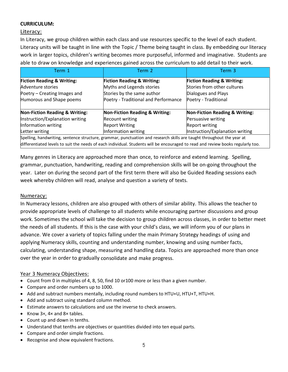#### **CURRICULUM:**

#### Literacy:

In Literacy, we group children within each class and use resources specific to the level of each student. Literacy units will be taught in line with the Topic / Theme being taught in class. By embedding our literacy work in larger topics, children's writing becomes more purposeful, informed and imaginative. Students are able to draw on knowledge and experiences gained across the curriculum to add detail to their work.

| Term 1                                    | Term 2                                                                                                                          | Term 3                                    |  |  |  |
|-------------------------------------------|---------------------------------------------------------------------------------------------------------------------------------|-------------------------------------------|--|--|--|
| <b>Fiction Reading &amp; Writing:</b>     | <b>Fiction Reading &amp; Writing:</b>                                                                                           | <b>Fiction Reading &amp; Writing:</b>     |  |  |  |
| Adventure stories                         | Myths and Legends stories                                                                                                       | Stories from other cultures               |  |  |  |
| Poetry – Creating Images and              | Stories by the same author                                                                                                      | Dialogues and Plays                       |  |  |  |
| Humorous and Shape poems                  | Poetry - Traditional and Performance                                                                                            | Poetry - Traditional                      |  |  |  |
| <b>Non-Fiction Reading &amp; Writing:</b> | <b>Non-Fiction Reading &amp; Writing:</b>                                                                                       | <b>Non-Fiction Reading &amp; Writing:</b> |  |  |  |
| Instruction/Explanation writing           | <b>Recount writing</b>                                                                                                          | Persuasive writing                        |  |  |  |
| Information writing                       | <b>Report Writing</b>                                                                                                           | <b>Report writing</b>                     |  |  |  |
| Letter writing                            | Information writing                                                                                                             | Instruction/Explanation writing           |  |  |  |
|                                           | Spelling, handwriting, sentence structure, grammar, punctuation and research skills are taught throughout the year at           |                                           |  |  |  |
|                                           | differentiated levels to suit the needs of each individual. Students will be encouraged to read and review books regularly too. |                                           |  |  |  |

Many genres in Literacy are approached more than once, to reinforce and extend learning. Spelling, grammar, punctuation, handwriting, reading and comprehension skills will be on-going throughout the year. Later on during the second part of the first term there will also be Guided Reading sessions each week whereby children will read, analyse and question a variety of texts.

#### Numeracy:

In Numeracy lessons, children are also grouped with others of similar ability. This allows the teacher to provide appropriate levels of challenge to all students while encouraging partner discussions and group work. Sometimes the school will take the decision to group children across classes, in order to better meet the needs of all students. If this is the case with your child's class, we will inform you of our plans in advance. We cover a variety of topics falling under the main Primary Strategy headings of using and applying Numeracy skills, counting and understanding number, knowing and using number facts, calculating, understanding shape, measuring and handling data. Topics are approached more than once over the year in order to gradually consolidate and make progress.

#### Year 3 Numeracy Objectives:

- Count from 0 in multiples of 4, 8, 50, find 10 or100 more or less than a given number.
- Compare and order numbers up to 1000.
- Add and subtract numbers mentally, including round numbers to HTU+U, HTU+T, HTU+H.
- Add and subtract using standard column method.
- Estimate answers to calculations and use the inverse to check answers.
- Know 3×, 4× and 8× tables.
- Count up and down in tenths.
- Understand that tenths are objectives or quantities divided into ten equal parts.
- Compare and order simple fractions.
- Recognise and show equivalent fractions.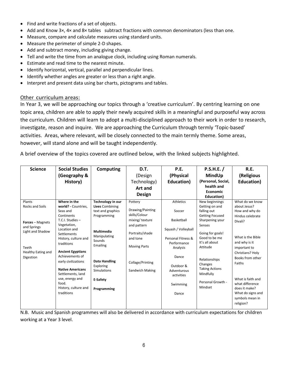- Find and write fractions of a set of objects.
- Add and Know 3×, 4× and 8× tables subtract fractions with common denominators (less than one.
- Measure, compare and calculate measures using standard units.
- Measure the perimeter of simple 2-D shapes.
- Add and subtract money, including giving change.
- Tell and write the time from an analogue clock, including using Roman numerals.
- Estimate and read time to the nearest minute.
- Identify horizontal, vertical, parallel and perpendicular lines.
- Identify whether angles are greater or less than a right angle.
- Interpret and present data using bar charts, pictograms and tables.

#### Other curriculum areas:

In Year 3, we will be approaching our topics through a 'creative curriculum'. By centring learning on one topic area, children are able to apply their newly acquired skills in a meaningful and purposeful way across the curriculum. Children will learn to adopt a multi-disciplined approach to their work in order to research, investigate, reason and inquire. We are approaching the Curriculum through termly 'Topic-based' activities. Areas, where relevant, will be closely connected to the main termly theme. Some areas, however, will stand alone and will be taught independently.

A brief overview of the topics covered are outlined below, with the linked subjects highlighted.

| <b>Science</b>                                                                                                                             | <b>Social Studies</b><br>(Geography &<br>History)                                                                                                                                                                                                                                                                                                             | <b>Computing</b>                                                                                                                                                                                                   | D.T.<br>(Design<br>Technology)<br>Art and<br>Design                                                                                                                        | P.E.<br>(Physical<br>Education)                                                                                                                                                          | P.S.H.E. /<br>MindUp<br>(Personal, Social,<br>health and<br><b>Economic</b><br>Education)                                                                                                                                                                                   | R.E.<br>(Religious<br>Education)                                                                                                                                                                                                                                                                       |
|--------------------------------------------------------------------------------------------------------------------------------------------|---------------------------------------------------------------------------------------------------------------------------------------------------------------------------------------------------------------------------------------------------------------------------------------------------------------------------------------------------------------|--------------------------------------------------------------------------------------------------------------------------------------------------------------------------------------------------------------------|----------------------------------------------------------------------------------------------------------------------------------------------------------------------------|------------------------------------------------------------------------------------------------------------------------------------------------------------------------------------------|-----------------------------------------------------------------------------------------------------------------------------------------------------------------------------------------------------------------------------------------------------------------------------|--------------------------------------------------------------------------------------------------------------------------------------------------------------------------------------------------------------------------------------------------------------------------------------------------------|
| Plants<br><b>Rocks and Soils</b><br><b>Forces</b> – Magnets<br>and Springs<br>Light and Shadow<br>Teeth<br>Healthy Eating and<br>Digestion | Where in the<br>world? - Countries,<br>Seas and<br>Continents<br>T.C.I. Studies -<br>Vegetation,<br>Location and<br>Settlements<br>History, culture and<br>traditions<br><b>Ancient Egyptians</b><br>Achievements of<br>early civilizations<br><b>Native Americans</b><br>Settlements, land<br>use, energy and<br>food.<br>History, culture and<br>traditions | Technology in our<br><b>Lives Combining</b><br>text and graphics<br>Programming<br>Multimedia<br>Manipulating<br>Sounds<br>Emailing<br>Data Handling<br>Exploring<br><b>Simulations</b><br>E-Safety<br>Programming | Pottery<br>Drawing/Painting<br>skills/Colour<br>mixing/texture<br>and pattern<br>Portraits/shade<br>and tone<br><b>Moving Parts</b><br>Collage/Printing<br>Sandwich Making | <b>Athletics</b><br>Soccer<br>Basketball<br>Squash / Volleyball<br>Personal Fitness &<br>Performance<br>Analysis<br>Dance<br>Outdoor &<br>Adventurous<br>activities<br>Swimming<br>Dance | New beginnings<br>Getting on and<br>falling out<br><b>Getting Focused</b><br>Sharpening your<br>Senses<br>Going for goals!<br>Good to be me<br>It's all about<br>Attitude<br>Relationships<br>Changes<br><b>Taking Actions</b><br>Mindfully<br>Personal Growth -<br>Mindset | What do we know<br>about Jesus?<br>How and why do<br>Hindus celebrate<br>Divali?<br>What is the Bible<br>and why is it<br>important to<br>Christians? Holy<br>Books from other<br>Faiths<br>What is faith and<br>what difference<br>does it make?<br>What do signs and<br>symbols mean in<br>religion? |

N.B. Music and Spanish programmes will also be delivered in accordance with curriculum expectations for children working at a Year 3 level.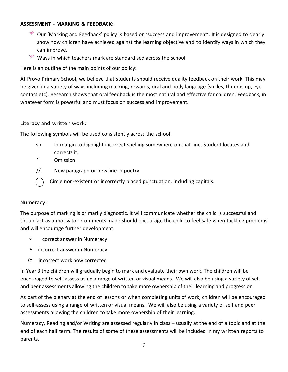#### **ASSESSMENT - MARKING & FEEDBACK:**

- Our 'Marking and Feedback' policy is based on 'success and improvement'. It is designed to clearly show how children have achieved against the learning objective and to identify ways in which they can improve.
- $\mathbb{R}$  Ways in which teachers mark are standardised across the school.

Here is an outline of the main points of our policy:

At Provo Primary School, we believe that students should receive quality feedback on their work. This may be given in a variety of ways including marking, rewards, oral and body language (smiles, thumbs up, eye contact etc). Research shows that oral feedback is the most natural and effective for children. Feedback, in whatever form is powerful and must focus on success and improvement.

#### Literacy and written work:

The following symbols will be used consistently across the school:

- sp In margin to highlight incorrect spelling somewhere on that line. Student locates and corrects it.
- ^ Omission
- // New paragraph or new line in poetry
	- Circle non-existent or incorrectly placed punctuation, including capitals.

#### Numeracy:

The purpose of marking is primarily diagnostic. It will communicate whether the child is successful and should act as a motivator. Comments made should encourage the child to feel safe when tackling problems and will encourage further development.

- $\checkmark$  correct answer in Numeracy
- incorrect answer in Numeracy
- C incorrect work now corrected

In Year 3 the children will gradually begin to mark and evaluate their own work. The children will be encouraged to self-assess using a range of written or visual means. We will also be using a variety of self and peer assessments allowing the children to take more ownership of their learning and progression.

As part of the plenary at the end of lessons or when completing units of work, children will be encouraged to self-assess using a range of written or visual means. We will also be using a variety of self and peer assessments allowing the children to take more ownership of their learning.

Numeracy, Reading and/or Writing are assessed regularly in class – usually at the end of a topic and at the end of each half term. The results of some of these assessments will be included in my written reports to parents.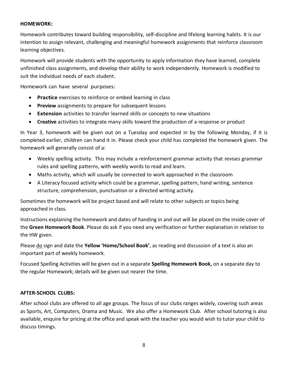#### **HOMEWORK:**

Homework contributes toward building responsibility, self-discipline and lifelong learning habits. It is our intention to assign relevant, challenging and meaningful homework assignments that reinforce classroom learning objectives.

Homework will provide students with the opportunity to apply information they have learned, complete unfinished class assignments, and develop their ability to work independently. Homework is modified to suit the individual needs of each student.

Homework can have several purposes:

- **Practice** exercises to reinforce or embed learning in class
- **Preview** assignments to prepare for subsequent lessons
- **Extension** activities to transfer learned skills or concepts to new situations
- **Creative** activities to integrate many skills toward the production of a response or product

In Year 3, homework will be given out on a Tuesday and expected in by the following Monday, if it is completed earlier, children can hand it in. Please check your child has completed the homework given. The homework will generally consist of a:

- Weekly spelling activity. This may include a reinforcement grammar activity that revises grammar rules and spelling patterns, with weekly words to read and learn.
- Maths activity, which will usually be connected to work approached in the classroom
- A Literacy focused activity which could be a grammar, spelling pattern, hand writing, sentence structure, comprehension, punctuation or a directed writing activity.

Sometimes the homework will be project based and will relate to other subjects or topics being approached in class.

Instructions explaining the homework and dates of handing in and out will be placed on the inside cover of the **Green Homework Book**. Please do ask if you need any verification or further explanation in relation to the HW given.

Please do sign and date the **Yellow 'Home/School Book'**, as reading and discussion of a text is also an important part of weekly homework.

Focused Spelling Activities will be given out in a separate **Spelling Homework Book,** on a separate day to the regular Homework; details will be given out nearer the time.

#### **AFTER-SCHOOL CLUBS:**

After school clubs are offered to all age groups. The focus of our clubs ranges widely, covering such areas as Sports, Art, Computers, Drama and Music. We also offer a Homework Club. After school tutoring is also available, enquire for pricing at the office and speak with the teacher you would wish to tutor your child to discuss timings.